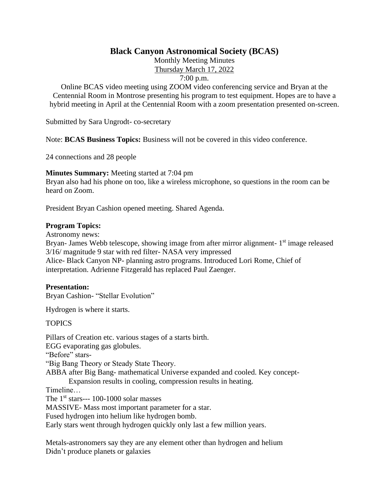# **Black Canyon Astronomical Society (BCAS)**

Monthly Meeting Minutes Thursday March 17, 2022

7:00 p.m.

Online BCAS video meeting using ZOOM video conferencing service and Bryan at the Centennial Room in Montrose presenting his program to test equipment. Hopes are to have a hybrid meeting in April at the Centennial Room with a zoom presentation presented on-screen.

Submitted by Sara Ungrodt- co-secretary

Note: **BCAS Business Topics:** Business will not be covered in this video conference.

24 connections and 28 people

**Minutes Summary:** Meeting started at 7:04 pm

Bryan also had his phone on too, like a wireless microphone, so questions in the room can be heard on Zoom.

President Bryan Cashion opened meeting. Shared Agenda.

### **Program Topics:**

Astronomy news:

Bryan- James Webb telescope, showing image from after mirror alignment- 1<sup>st</sup> image released 3/16/ magnitude 9 star with red filter- NASA very impressed

Alice- Black Canyon NP- planning astro programs. Introduced Lori Rome, Chief of interpretation. Adrienne Fitzgerald has replaced Paul Zaenger.

## **Presentation:**

Bryan Cashion- "Stellar Evolution"

Hydrogen is where it starts.

## **TOPICS**

Pillars of Creation etc. various stages of a starts birth. EGG evaporating gas globules. "Before" stars-"Big Bang Theory or Steady State Theory. ABBA after Big Bang- mathematical Universe expanded and cooled. Key concept-Expansion results in cooling, compression results in heating. Timeline… The  $1<sup>st</sup> stars---100-1000$  solar masses MASSIVE- Mass most important parameter for a star. Fused hydrogen into helium like hydrogen bomb.

Early stars went through hydrogen quickly only last a few million years.

Metals-astronomers say they are any element other than hydrogen and helium Didn't produce planets or galaxies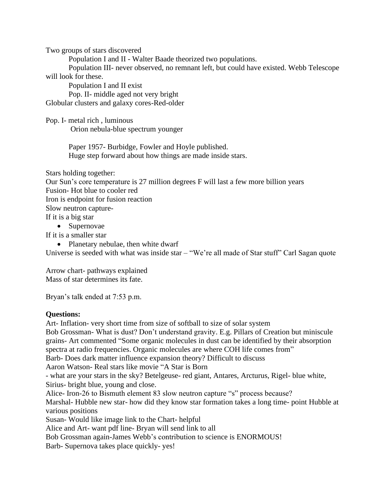Two groups of stars discovered

Population I and II - Walter Baade theorized two populations.

Population III- never observed, no remnant left, but could have existed. Webb Telescope will look for these.

Population I and II exist

Pop. II- middle aged not very bright

Globular clusters and galaxy cores-Red-older

Pop. I- metal rich , luminous Orion nebula-blue spectrum younger

> Paper 1957- Burbidge, Fowler and Hoyle published. Huge step forward about how things are made inside stars.

Stars holding together:

Our Sun's core temperature is 27 million degrees F will last a few more billion years Fusion- Hot blue to cooler red Iron is endpoint for fusion reaction Slow neutron capture-If it is a big star

• Supernovae

If it is a smaller star

• Planetary nebulae, then white dwarf

Universe is seeded with what was inside star – "We're all made of Star stuff" Carl Sagan quote

Arrow chart- pathways explained Mass of star determines its fate.

Bryan's talk ended at 7:53 p.m.

## **Questions:**

Art- Inflation- very short time from size of softball to size of solar system Bob Grossman- What is dust? Don't understand gravity. E.g. Pillars of Creation but miniscule grains- Art commented "Some organic molecules in dust can be identified by their absorption spectra at radio frequencies. Organic molecules are where COH life comes from" Barb- Does dark matter influence expansion theory? Difficult to discuss Aaron Watson- Real stars like movie "A Star is Born - what are your stars in the sky? Betelgeuse- red giant, Antares, Arcturus, Rigel- blue white, Sirius- bright blue, young and close. Alice- Iron-26 to Bismuth element 83 slow neutron capture "s" process because? Marshal- Hubble new star- how did they know star formation takes a long time- point Hubble at various positions Susan- Would like image link to the Chart- helpful Alice and Art- want pdf line- Bryan will send link to all Bob Grossman again-James Webb's contribution to science is ENORMOUS! Barb- Supernova takes place quickly- yes!